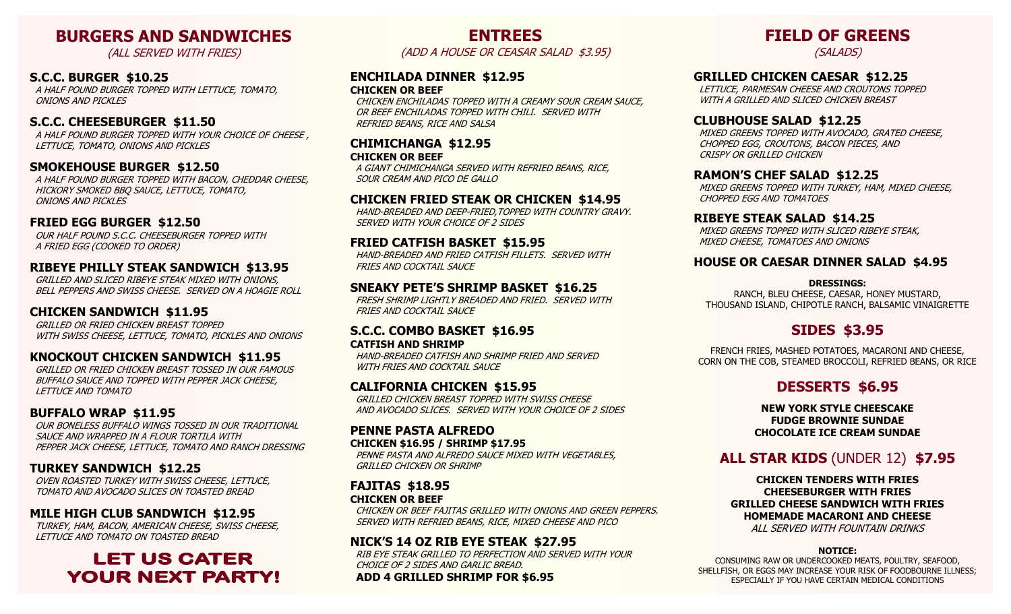# **BURGERS AND SANDWICHES**

(ALL SERVED WITH FRIES)

## **S.C.C. BURGER \$10.25**

 A HALF POUND BURGER TOPPED WITH LETTUCE, TOMATO, ONIONS AND PICKLES

## **S.C.C. CHEESEBURGER \$11.50**

A HALF POUND BURGER TOPPED WITH YOUR CHOICE OF CHEESE. LETTUCE, TOMATO, ONIONS AND PICKLES

#### **SMOKEHOUSE BURGER \$12.50**

 A HALF POUND BURGER TOPPED WITH BACON, CHEDDAR CHEESE, HICKORY SMOKED BBQ SAUCE, LETTUCE, TOMATO, ONIONS AND PICKLES

### **FRIED EGG BURGER \$12.50**

 OUR HALF POUND S.C.C. CHEESEBURGER TOPPED WITH A FRIED EGG (COOKED TO ORDER)

#### **RIBEYE PHILLY STEAK SANDWICH \$13.95**

 GRILLED AND SLICED RIBEYE STEAK MIXED WITH ONIONS, BELL PEPPERS AND SWISS CHEESE. SERVED ON A HOAGIE ROLL

#### **CHICKEN SANDWICH \$11.95**

 GRILLED OR FRIED CHICKEN BREAST TOPPED WITH SWISS CHEESE, LETTUCE, TOMATO, PICKLES AND ONIONS

#### **KNOCKOUT CHICKEN SANDWICH \$11.95**

 GRILLED OR FRIED CHICKEN BREAST TOSSED IN OUR FAMOUS BUFFALO SAUCE AND TOPPED WITH PEPPER JACK CHEESE, LETTUCE AND TOMATO

# **BUFFALO WRAP \$11.95**

 OUR BONELESS BUFFALO WINGS TOSSED IN OUR TRADITIONAL SAUCE AND WRAPPED IN A FLOUR TORTILA WITH PEPPER JACK CHEESE, LETTUCE, TOMATO AND RANCH DRESSING

# **TURKEY SANDWICH \$12.25**

 OVEN ROASTED TURKEY WITH SWISS CHEESE, LETTUCE, TOMATO AND AVOCADO SLICES ON TOASTED BREAD

# **MILE HIGH CLUB SANDWICH \$12.95**

 TURKEY, HAM, BACON, AMERICAN CHEESE, SWISS CHEESE, LETTUCE AND TOMATO ON TOASTED BREAD

# **LET US CATER YOUR NEXT PARTY!**

**ENTREES**  (ADD A HOUSE OR CEASAR SALAD \$3.95)

#### **ENCHILADA DINNER \$12.95 CHICKEN OR BEEF**

 CHICKEN ENCHILADAS TOPPED WITH A CREAMY SOUR CREAM SAUCE, OR BEEF ENCHILADAS TOPPED WITH CHILI. SERVED WITH REFRIED BEANS, RICE AND SALSA

#### **CHIMICHANGA \$12.95 CHICKEN OR BEEF**

 A GIANT CHIMICHANGA SERVED WITH REFRIED BEANS, RICE, SOUR CREAM AND PICO DE GALLO

#### **CHICKEN FRIED STEAK OR CHICKEN \$14.95**

 HAND-BREADED AND DEEP-FRIED,TOPPED WITH COUNTRY GRAVY. SERVED WITH YOUR CHOICE OF 2 SIDES

#### **FRIED CATFISH BASKET \$15.95**

 HAND-BREADED AND FRIED CATFISH FILLETS. SERVED WITH FRIES AND COCKTAIL SAUCE

#### **SNEAKY PETE'S SHRIMP BASKET \$16.25**

 FRESH SHRIMP LIGHTLY BREADED AND FRIED. SERVED WITH FRIES AND COCKTAIL SAUCE

#### **S.C.C. COMBO BASKET \$16.95 CATFISH AND SHRIMP**

 HAND-BREADED CATFISH AND SHRIMP FRIED AND SERVED WITH FRIES AND COCKTAIL SAUCE

#### **CALIFORNIA CHICKEN \$15.95**

 GRILLED CHICKEN BREAST TOPPED WITH SWISS CHEESE AND AVOCADO SLICES. SERVED WITH YOUR CHOICE OF 2 SIDES

#### **PENNE PASTA ALFREDO CHICKEN \$16.95 / SHRIMP \$17.95**

 PENNE PASTA AND ALFREDO SAUCE MIXED WITH VEGETABLES, GRILLED CHICKEN OR SHRIMP

#### **FAJITAS \$18.95 CHICKEN OR BEEF**

 CHICKEN OR BEEF FAJITAS GRILLED WITH ONIONS AND GREEN PEPPERS. SERVED WITH REFRIED BEANS, RICE, MIXED CHEESE AND PICO

# **NICK'S 14 OZ RIB EYE STEAK \$27.95**

 RIB EYE STEAK GRILLED TO PERFECTION AND SERVED WITH YOUR CHOICE OF 2 SIDES AND GARLIC BREAD. **ADD 4 GRILLED SHRIMP FOR \$6.95**

# **FIELD OF GREENS**

(SALADS)

# **GRILLED CHICKEN CAESAR \$12.25**

 LETTUCE, PARMESAN CHEESE AND CROUTONS TOPPED WITH A GRILLED AND SLICED CHICKEN BREAST

#### **CLUBHOUSE SALAD \$12.25**

 MIXED GREENS TOPPED WITH AVOCADO, GRATED CHEESE, CHOPPED EGG, CROUTONS, BACON PIECES, AND CRISPY OR GRILLED CHICKEN

#### **RAMON'S CHEF SALAD \$12.25**

 MIXED GREENS TOPPED WITH TURKEY, HAM, MIXED CHEESE, CHOPPED EGG AND TOMATOES

#### **RIBEYE STEAK SALAD \$14.25**

 MIXED GREENS TOPPED WITH SLICED RIBEYE STEAK, MIXED CHEESE, TOMATOES AND ONIONS

# **HOUSE OR CAESAR DINNER SALAD \$4.95**

#### **DRESSINGS:**

RANCH, BLEU CHEESE, CAESAR, HONEY MUSTARD, THOUSAND ISLAND, CHIPOTLE RANCH, BALSAMIC VINAIGRETTE

# **SIDES \$3.95**

FRENCH FRIES, MASHED POTATOES, MACARONI AND CHEESE, CORN ON THE COB, STEAMED BROCCOLI, REFRIED BEANS, OR RICE

# **DESSERTS \$6.95**

**NEW YORK STYLE CHEESCAKE FUDGE BROWNIE SUNDAE CHOCOLATE ICE CREAM SUNDAE** 

# **ALL STAR KIDS** (UNDER 12) **\$7.95**

**CHICKEN TENDERS WITH FRIES CHEESEBURGER WITH FRIES GRILLED CHEESE SANDWICH WITH FRIES HOMEMADE MACARONI AND CHEESE**  ALL SERVED WITH FOUNTAIN DRINKS

#### **NOTICE:**

CONSUMING RAW OR UNDERCOOKED MEATS, POULTRY, SEAFOOD, SHELLFISH, OR EGGS MAY INCREASE YOUR RISK OF FOODBOURNE ILLNESS; ESPECIALLY IF YOU HAVE CERTAIN MEDICAL CONDITIONS